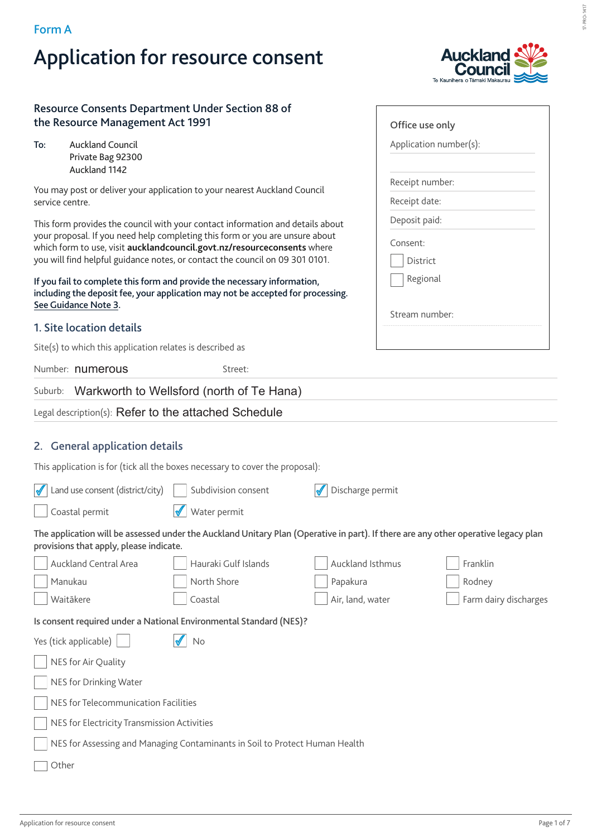### **Form A**

# **Application for resource consent**



### **Resource Consents Department Under Section 88 of the Resource Management Act 1991**

| To: | <b>Auckland Council</b> |
|-----|-------------------------|
|     | Private Bag 92300       |
|     | Auckland 1142           |

You may post or deliver your application to your nearest Auckland Council service centre.

This form provides the council with your contact information and details about your proposal. If you need help completing this form or you are unsure about which form to use, visit **aucklandcouncil.govt.nz/resourceconsents** where you will find helpful guidance notes, or contact the council on 09 301 0101.

**If you fail to complete this form and provide the necessary information, including the deposit fee, your application may not be accepted for processing. See Guidance Note 3.** 

### **1. Site location details**

Site(s) to which this application relates is described as

Number: numerous extreet:

Suburb: Warkworth to Wellsford (north of Te Hana)

### Legal description(s): Refer to the attached Schedule

### **2. General application details**

| This application is for (tick all the boxes necessary to cover the proposal): |  |  |
|-------------------------------------------------------------------------------|--|--|
|                                                                               |  |  |

| Land use consent (district/city)            | Subdivision consent                                                                                                                | Discharge permit |                       |  |
|---------------------------------------------|------------------------------------------------------------------------------------------------------------------------------------|------------------|-----------------------|--|
| Coastal permit                              | Water permit                                                                                                                       |                  |                       |  |
| provisions that apply, please indicate.     | The application will be assessed under the Auckland Unitary Plan (Operative in part). If there are any other operative legacy plan |                  |                       |  |
| Auckland Central Area                       | Hauraki Gulf Islands                                                                                                               | Auckland Isthmus | Franklin              |  |
| Manukau                                     | North Shore                                                                                                                        | Papakura         | Rodney                |  |
| Waitākere                                   | Coastal                                                                                                                            | Air, land, water | Farm dairy discharges |  |
|                                             | Is consent required under a National Environmental Standard (NES)?                                                                 |                  |                       |  |
| Yes (tick applicable)                       | No                                                                                                                                 |                  |                       |  |
| NES for Air Quality                         |                                                                                                                                    |                  |                       |  |
| NES for Drinking Water                      |                                                                                                                                    |                  |                       |  |
| NES for Telecommunication Facilities        |                                                                                                                                    |                  |                       |  |
| NES for Electricity Transmission Activities |                                                                                                                                    |                  |                       |  |
|                                             | NES for Assessing and Managing Contaminants in Soil to Protect Human Health                                                        |                  |                       |  |
| Other                                       |                                                                                                                                    |                  |                       |  |

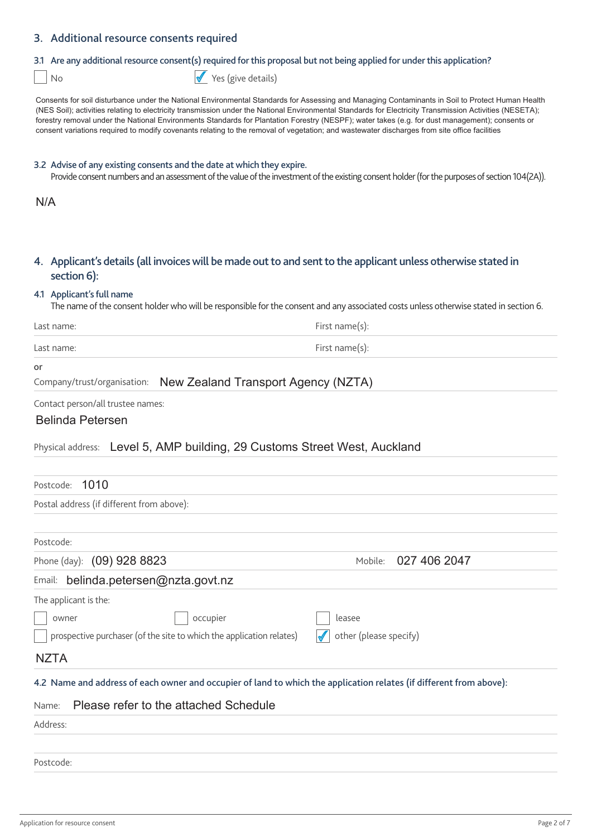### **3. Additional resource consents required**

### **3.1 Are any additional resource consent(s) required for this proposal but not being applied for under this application?**

No Yes (give details)

Consents for soil disturbance under the National Environmental Standards for Assessing and Managing Contaminants in Soil to Protect Human Health (NES Soil); activities relating to electricity transmission under the National Environmental Standards for Electricity Transmission Activities (NESETA); forestry removal under the National Environments Standards for Plantation Forestry (NESPF); water takes (e.g. for dust management); consents or consent variations required to modify covenants relating to the removal of vegetation; and wastewater discharges from site office facilities

#### **3.2 Advise of any existing consents and the date at which they expire.**

Provide consent numbers and an assessment of the value of the investment of the existing consent holder (for the purposes of section 104(2A)).

N/A

### **4. Applicant's details (all invoices will be made out to and sent to the applicant unless otherwise stated in section 6):**

#### **4.1 Applicant's full name**

The name of the consent holder who will be responsible for the consent and any associated costs unless otherwise stated in section 6.

| Last name: | First name(s): |
|------------|----------------|
| Last name: | First name(s): |

#### **or**

Company/trust/organisation: New Zealand Transport Agency (NZTA)

Contact person/all trustee names:

### Belinda Petersen

### Physical address: Level 5, AMP building, 29 Customs Street West, Auckland

| Postcode: 1010                                                                                                      |                         |
|---------------------------------------------------------------------------------------------------------------------|-------------------------|
| Postal address (if different from above):                                                                           |                         |
|                                                                                                                     |                         |
| Postcode:                                                                                                           |                         |
| Phone (day): (09) 928 8823                                                                                          | 027 406 2047<br>Mobile: |
| belinda.petersen@nzta.govt.nz<br>Email:                                                                             |                         |
| The applicant is the:                                                                                               |                         |
| occupier<br>owner                                                                                                   | leasee                  |
| prospective purchaser (of the site to which the application relates)                                                | other (please specify)  |
| <b>NZTA</b>                                                                                                         |                         |
| 4.2 Name and address of each owner and occupier of land to which the application relates (if different from above): |                         |
| Please refer to the attached Schedule<br>Name:                                                                      |                         |
| Address:                                                                                                            |                         |
|                                                                                                                     |                         |
| Postcode:                                                                                                           |                         |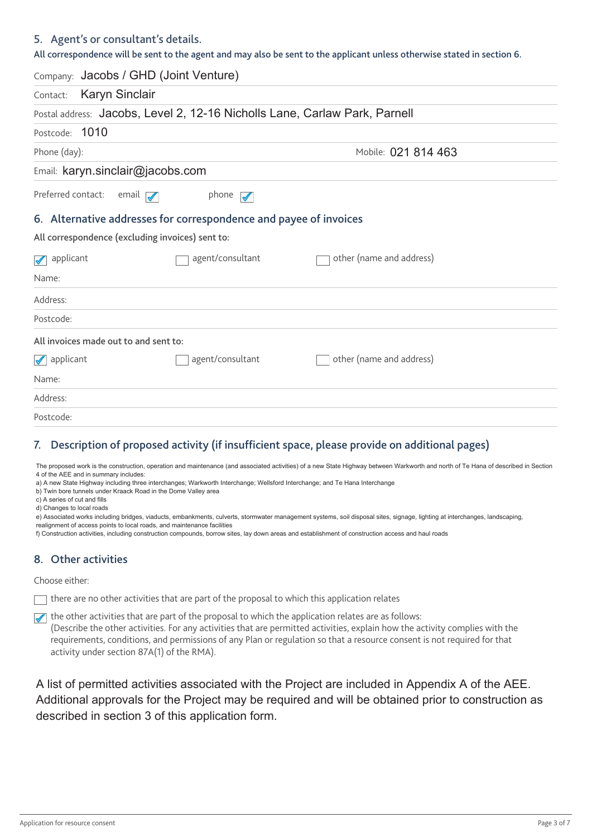### **5. Agent's or consultant's details.**

**All correspondence will be sent to the agent and may also be sent to the applicant unless otherwise stated in section 6.**

|                                                  | Company: Jacobs / GHD (Joint Venture)                                      |                          |  |
|--------------------------------------------------|----------------------------------------------------------------------------|--------------------------|--|
| <b>Karyn Sinclair</b><br>Contact:                |                                                                            |                          |  |
|                                                  | Postal address: Jacobs, Level 2, 12-16 Nicholls Lane, Carlaw Park, Parnell |                          |  |
| Postcode: 1010                                   |                                                                            |                          |  |
| Phone (day):                                     |                                                                            | Mobile: 021 814 463      |  |
| Email: karyn.sinclair@jacobs.com                 |                                                                            |                          |  |
| Preferred contact:                               | email $\sqrt{\phantom{a}}$<br>phone $\sqrt{\phantom{a}}$                   |                          |  |
|                                                  | 6. Alternative addresses for correspondence and payee of invoices          |                          |  |
| All correspondence (excluding invoices) sent to: |                                                                            |                          |  |
| $\sqrt{\phantom{a}}$ applicant                   | agent/consultant                                                           | other (name and address) |  |
| Name:                                            |                                                                            |                          |  |
| Address:                                         |                                                                            |                          |  |
| Postcode:                                        |                                                                            |                          |  |
| All invoices made out to and sent to:            |                                                                            |                          |  |
| $\sqrt{\phantom{a}}$ applicant                   | agent/consultant                                                           | other (name and address) |  |
| Name:                                            |                                                                            |                          |  |
| Address:                                         |                                                                            |                          |  |
| Postcode:                                        |                                                                            |                          |  |

### **7. Description of proposed activity (if insufficient space, please provide on additional pages)**

The proposed work is the construction, operation and maintenance (and associated activities) of a new State Highway between Warkworth and north of Te Hana of described in Section 4 of the AEE and in summary includes:

a) A new State Highway including three interchanges; Warkworth Interchange; Wellsford Interchange; and Te Hana Interchange

b) Twin bore tunnels under Kraack Road in the Dome Valley area

c) A series of cut and fills

d) Changes to local roads

e) Associated works including bridges, viaducts, embankments, culverts, stormwater management systems, soil disposal sites, signage, lighting at interchanges, landscaping, realignment of access points to local roads, and maintenance facilities

f) Construction activities, including construction compounds, borrow sites, lay down areas and establishment of construction access and haul roads

### **8. Other activities**

Choose either:

 $\top$  there are no other activities that are part of the proposal to which this application relates

 $\sqrt{\phantom{a}}$  the other activities that are part of the proposal to which the application relates are as follows: (Describe the other activities. For any activities that are permitted activities, explain how the activity complies with the requirements, conditions, and permissions of any Plan or regulation so that a resource consent is not required for that activity under section 87A(1) of the RMA).

A list of permitted activities associated with the Project are included in Appendix A of the AEE. Additional approvals for the Project may be required and will be obtained prior to construction as described in section 3 of this application form.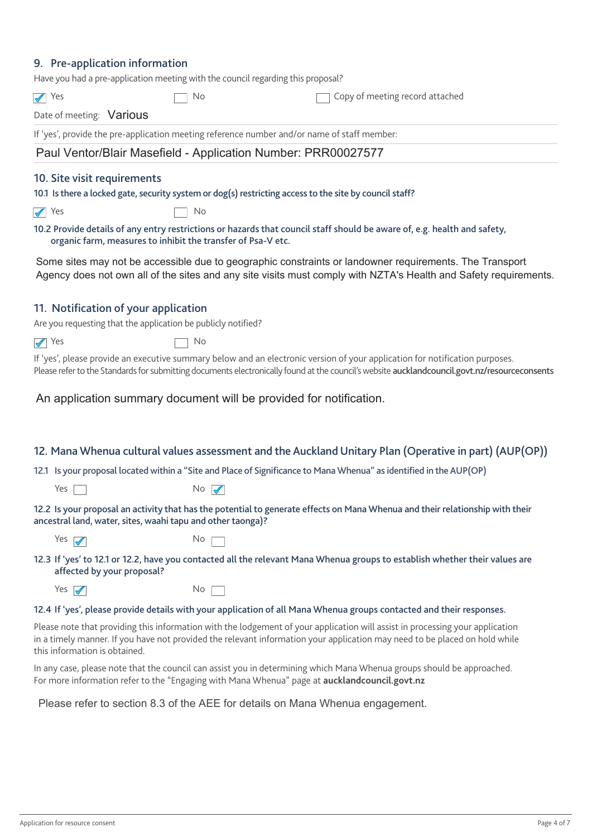### **9. Pre-application information**

|                                      | Have you had a pre-application meeting with the council regarding this proposal? |                                                                                                                                                                                                                                                                               |
|--------------------------------------|----------------------------------------------------------------------------------|-------------------------------------------------------------------------------------------------------------------------------------------------------------------------------------------------------------------------------------------------------------------------------|
| $\sqrt{ }$ Yes                       | No                                                                               | Copy of meeting record attached                                                                                                                                                                                                                                               |
| Date of meeting: Various             |                                                                                  |                                                                                                                                                                                                                                                                               |
|                                      |                                                                                  | If 'yes', provide the pre-application meeting reference number and/or name of staff member:                                                                                                                                                                                   |
|                                      |                                                                                  | Paul Ventor/Blair Masefield - Application Number: PRR00027577                                                                                                                                                                                                                 |
| 10. Site visit requirements          |                                                                                  | 10.1 Is there a locked gate, security system or dog(s) restricting access to the site by council staff?                                                                                                                                                                       |
| $\sqrt{ }$ Yes                       | No                                                                               |                                                                                                                                                                                                                                                                               |
|                                      | organic farm, measures to inhibit the transfer of Psa-V etc.                     | 10.2 Provide details of any entry restrictions or hazards that council staff should be aware of, e.g. health and safety,                                                                                                                                                      |
|                                      |                                                                                  | Some sites may not be accessible due to geographic constraints or landowner requirements. The Transport<br>Agency does not own all of the sites and any site visits must comply with NZTA's Health and Safety requirements.                                                   |
| 11. Notification of your application | Are you requesting that the application be publicly notified?                    |                                                                                                                                                                                                                                                                               |
| $\sqrt{ }$ Yes                       | No                                                                               |                                                                                                                                                                                                                                                                               |
|                                      |                                                                                  | If 'yes', please provide an executive summary below and an electronic version of your application for notification purposes.<br>Please refer to the Standards for submitting documents electronically found at the council's website aucklandcouncil.govt.nz/resourceconsents |
|                                      |                                                                                  | An application summary document will be provided for notification.                                                                                                                                                                                                            |
|                                      |                                                                                  | 12. Mana Whenua cultural values assessment and the Auckland Unitary Plan (Operative in part) (AUP(OP))                                                                                                                                                                        |
|                                      |                                                                                  | 12.1 Is your proposal located within a "Site and Place of Significance to Mana Whenua" as identified in the AUP(OP)                                                                                                                                                           |
| Yes                                  | $No \nightharpoondown$                                                           |                                                                                                                                                                                                                                                                               |
|                                      | ancestral land, water, sites, waahi tapu and other taonga)?                      | 12.2 Is your proposal an activity that has the potential to generate effects on Mana Whenua and their relationship with their                                                                                                                                                 |
| Yes $\sqrt{\phantom{a}}$             | <b>No</b>                                                                        |                                                                                                                                                                                                                                                                               |
| affected by your proposal?           |                                                                                  | 12.3 If 'yes' to 12.1 or 12.2, have you contacted all the relevant Mana Whenua groups to establish whether their values are                                                                                                                                                   |
| Yes $\sqrt{ }$                       | No.                                                                              |                                                                                                                                                                                                                                                                               |
|                                      |                                                                                  | 12.4 If 'yes', please provide details with your application of all Mana Whenua groups contacted and their responses.                                                                                                                                                          |
| this information is obtained.        |                                                                                  | Please note that providing this information with the lodgement of your application will assist in processing your application<br>in a timely manner. If you have not provided the relevant information your application may need to be placed on hold while                   |
|                                      |                                                                                  | In any case, please note that the council can assist you in determining which Mana Whenua groups should be approached.<br>For more information refer to the "Engaging with Mana Whenua" page at aucklandcouncil.govt.nz                                                       |

Please refer to section 8.3 of the AEE for details on Mana Whenua engagement.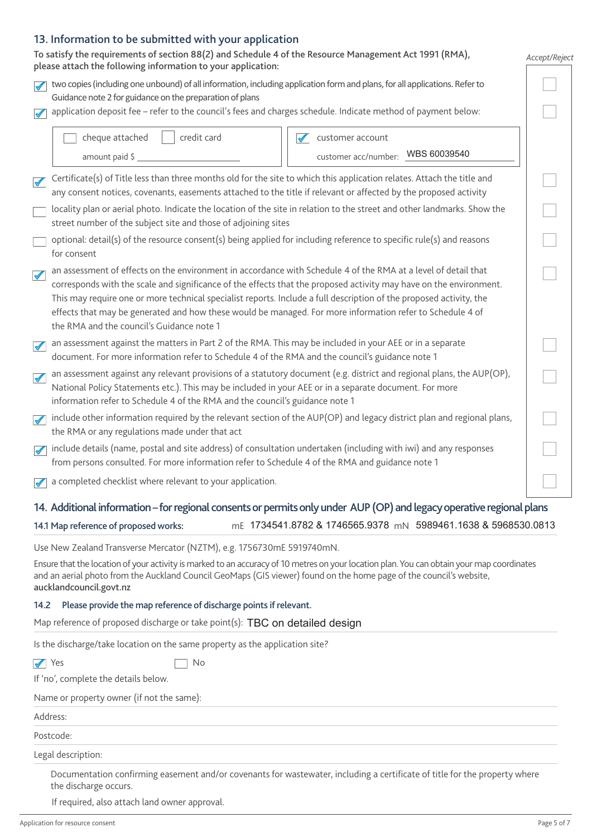### **13. Information to be submitted with your application**

| To satisfy the requirements of section 88(2) and Schedule 4 of the Resource Management Act 1991 (RMA),<br>please attach the following information to your application:                                                                                                                                                                                                                                                                                                                                                                   |                                                                               | Accept/Reject |  |  |
|------------------------------------------------------------------------------------------------------------------------------------------------------------------------------------------------------------------------------------------------------------------------------------------------------------------------------------------------------------------------------------------------------------------------------------------------------------------------------------------------------------------------------------------|-------------------------------------------------------------------------------|---------------|--|--|
| two copies (including one unbound) of all information, including application form and plans, for all applications. Refer to<br>Guidance note 2 for guidance on the preparation of plans                                                                                                                                                                                                                                                                                                                                                  |                                                                               |               |  |  |
| application deposit fee - refer to the council's fees and charges schedule. Indicate method of payment below:<br>$\blacktriangledown$                                                                                                                                                                                                                                                                                                                                                                                                    |                                                                               |               |  |  |
| credit card<br>cheque attached<br>amount paid \$                                                                                                                                                                                                                                                                                                                                                                                                                                                                                         | customer account<br>$\blacktriangledown$<br>customer acc/number: WBS 60039540 |               |  |  |
| Certificate(s) of Title less than three months old for the site to which this application relates. Attach the title and<br>$\blacklozenge$<br>any consent notices, covenants, easements attached to the title if relevant or affected by the proposed activity                                                                                                                                                                                                                                                                           |                                                                               |               |  |  |
| locality plan or aerial photo. Indicate the location of the site in relation to the street and other landmarks. Show the<br>street number of the subject site and those of adjoining sites                                                                                                                                                                                                                                                                                                                                               |                                                                               |               |  |  |
| optional: detail(s) of the resource consent(s) being applied for including reference to specific rule(s) and reasons<br>for consent                                                                                                                                                                                                                                                                                                                                                                                                      |                                                                               |               |  |  |
| an assessment of effects on the environment in accordance with Schedule 4 of the RMA at a level of detail that<br>$\blacklozenge$<br>corresponds with the scale and significance of the effects that the proposed activity may have on the environment.<br>This may require one or more technical specialist reports. Include a full description of the proposed activity, the<br>effects that may be generated and how these would be managed. For more information refer to Schedule 4 of<br>the RMA and the council's Guidance note 1 |                                                                               |               |  |  |
| an assessment against the matters in Part 2 of the RMA. This may be included in your AEE or in a separate<br>$\blacktriangledown$<br>document. For more information refer to Schedule 4 of the RMA and the council's guidance note 1                                                                                                                                                                                                                                                                                                     |                                                                               |               |  |  |
| an assessment against any relevant provisions of a statutory document (e.g. district and regional plans, the AUP(OP),<br>$\blacktriangledown$<br>National Policy Statements etc.). This may be included in your AEE or in a separate document. For more<br>information refer to Schedule 4 of the RMA and the council's guidance note 1                                                                                                                                                                                                  |                                                                               |               |  |  |
| include other information required by the relevant section of the AUP(OP) and legacy district plan and regional plans,<br>$\overline{\mathscr{V}}$<br>the RMA or any regulations made under that act                                                                                                                                                                                                                                                                                                                                     |                                                                               |               |  |  |
| include details (name, postal and site address) of consultation undertaken (including with iwi) and any responses<br>$\blacktriangledown$<br>from persons consulted. For more information refer to Schedule 4 of the RMA and guidance note 1                                                                                                                                                                                                                                                                                             |                                                                               |               |  |  |
| a completed checklist where relevant to your application.                                                                                                                                                                                                                                                                                                                                                                                                                                                                                |                                                                               |               |  |  |
| 14. Additional information – for regional consents or permits only under AUP (OP) and legacy operative regional plans<br>14.1 Map reference of proposed works:                                                                                                                                                                                                                                                                                                                                                                           | mE 1734541.8782 & 1746565.9378 mN 5989461.1638 & 5968530.0813                 |               |  |  |
| Use New Zealand Transverse Mercator (NZTM), e.g. 1756730mE 5919740mN.                                                                                                                                                                                                                                                                                                                                                                                                                                                                    |                                                                               |               |  |  |
| Ensure that the location of your activity is marked to an accuracy of 10 metres on your location plan. You can obtain your map coordinates<br>and an aerial photo from the Auckland Council GeoMaps (GIS viewer) found on the home page of the council's website,<br>aucklandcouncil.govt.nz                                                                                                                                                                                                                                             |                                                                               |               |  |  |
| Please provide the map reference of discharge points if relevant.<br>14.2                                                                                                                                                                                                                                                                                                                                                                                                                                                                |                                                                               |               |  |  |
| Map reference of proposed discharge or take point(s): TBC on detailed design                                                                                                                                                                                                                                                                                                                                                                                                                                                             |                                                                               |               |  |  |
| Is the discharge/take location on the same property as the application site?                                                                                                                                                                                                                                                                                                                                                                                                                                                             |                                                                               |               |  |  |
| $\sqrt{\ }$ Yes<br>No.                                                                                                                                                                                                                                                                                                                                                                                                                                                                                                                   |                                                                               |               |  |  |
| If 'no', complete the details below.                                                                                                                                                                                                                                                                                                                                                                                                                                                                                                     |                                                                               |               |  |  |
| Name or property owner (if not the same):                                                                                                                                                                                                                                                                                                                                                                                                                                                                                                |                                                                               |               |  |  |
| Address:                                                                                                                                                                                                                                                                                                                                                                                                                                                                                                                                 |                                                                               |               |  |  |
| Postcode:                                                                                                                                                                                                                                                                                                                                                                                                                                                                                                                                |                                                                               |               |  |  |

Legal description:

 Documentation confirming easement and/or covenants for wastewater, including a certificate of title for the property where the discharge occurs.

If required, also attach land owner approval.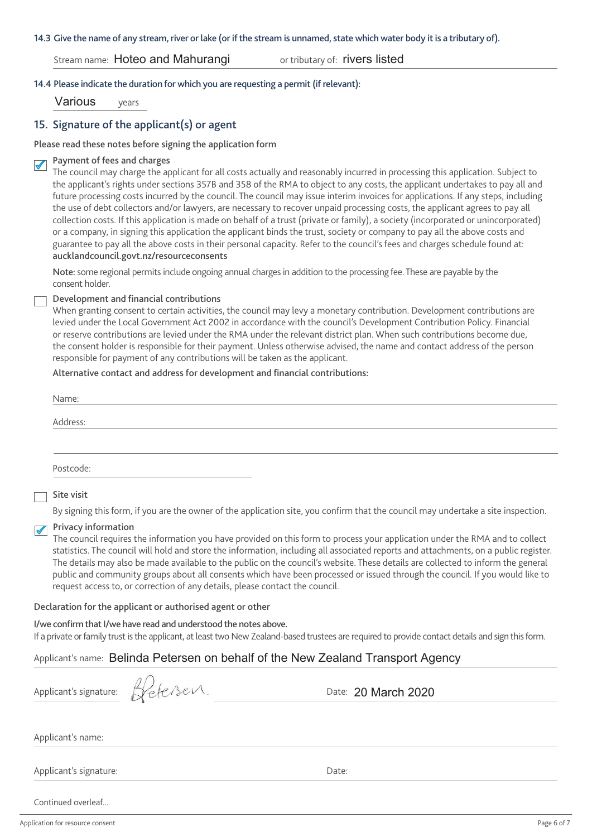#### **14.3 Give the name of any stream, river or lake (or if the stream is unnamed, state which water body it is a tributary of).**

### Stream name: Hoteo and Mahurangi

or tributary of: rivers listed

### **14.4 Please indicate the duration for which you are requesting a permit (if relevant):**

Various years

### **15. Signature of the applicant(s) or agent**

### **Please read these notes before signing the application form**

#### **Payment of fees and charges**  $\blacktriangledown$

The council may charge the applicant for all costs actually and reasonably incurred in processing this application. Subject to the applicant's rights under sections 357B and 358 of the RMA to object to any costs, the applicant undertakes to pay all and future processing costs incurred by the council. The council may issue interim invoices for applications. If any steps, including the use of debt collectors and/or lawyers, are necessary to recover unpaid processing costs, the applicant agrees to pay all collection costs. If this application is made on behalf of a trust (private or family), a society (incorporated or unincorporated) or a company, in signing this application the applicant binds the trust, society or company to pay all the above costs and guarantee to pay all the above costs in their personal capacity. Refer to the council's fees and charges schedule found at: **aucklandcouncil.govt.nz/resourceconsents**

**Note:** some regional permits include ongoing annual charges in addition to the processing fee. These are payable by the consent holder.

#### **Development and financial contributions**

When granting consent to certain activities, the council may levy a monetary contribution. Development contributions are levied under the Local Government Act 2002 in accordance with the council's Development Contribution Policy. Financial or reserve contributions are levied under the RMA under the relevant district plan. When such contributions become due, the consent holder is responsible for their payment. Unless otherwise advised, the name and contact address of the person responsible for payment of any contributions will be taken as the applicant.

### **Alternative contact and address for development and financial contributions:**

| Name:     |  |  |
|-----------|--|--|
| Address:  |  |  |
|           |  |  |
|           |  |  |
| Postcode: |  |  |

### **Site visit**

By signing this form, if you are the owner of the application site, you confirm that the council may undertake a site inspection.

## **Privacy information**

The council requires the information you have provided on this form to process your application under the RMA and to collect statistics. The council will hold and store the information, including all associated reports and attachments, on a public register. The details may also be made available to the public on the council's website. These details are collected to inform the general public and community groups about all consents which have been processed or issued through the council. If you would like to request access to, or correction of any details, please contact the council.

#### **Declaration for the applicant or authorised agent or other**

**I/we confirm that I/we have read and understood the notes above.** If a private or family trust is the applicant, at least two New Zealand-based trustees are required to provide contact details and sign this form.

### Applicant's name: Belinda Petersen on behalf of the New Zealand Transport Agency

|  | Applicant's signature |
|--|-----------------------|
|  |                       |
|  |                       |

Betersen.

Date: 20 March 2020

Applicant's name:

Applicant's signature: Date: Date: Date: Date: Date: Date: Date: Date: Date: Date: Date: Date: Date: Date: Date: Date: Date: Date: Date: Date: Date: Date: Date: Date: Date: Date: Date: Date: Date: Date: Date: Date: Date: D

Continued overleaf...